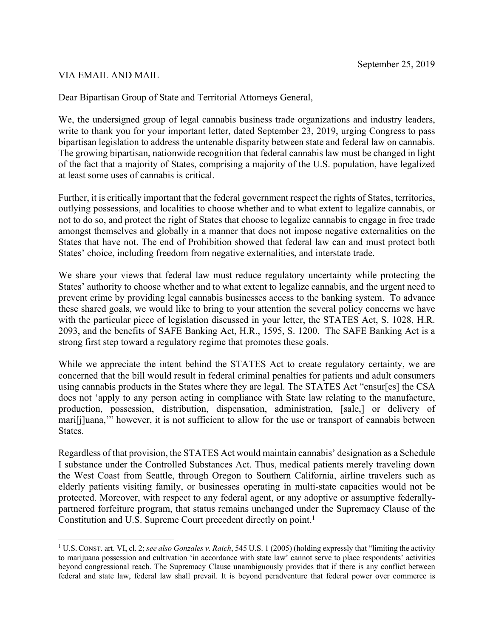## September 25, 2019

## VIA EMAIL AND MAIL

Dear Bipartisan Group of State and Territorial Attorneys General,

We, the undersigned group of legal cannabis business trade organizations and industry leaders, write to thank you for your important letter, dated September 23, 2019, urging Congress to pass bipartisan legislation to address the untenable disparity between state and federal law on cannabis. The growing bipartisan, nationwide recognition that federal cannabis law must be changed in light of the fact that a majority of States, comprising a majority of the U.S. population, have legalized at least some uses of cannabis is critical.

Further, it is critically important that the federal government respect the rights of States, territories, outlying possessions, and localities to choose whether and to what extent to legalize cannabis, or not to do so, and protect the right of States that choose to legalize cannabis to engage in free trade amongst themselves and globally in a manner that does not impose negative externalities on the States that have not. The end of Prohibition showed that federal law can and must protect both States' choice, including freedom from negative externalities, and interstate trade.

We share your views that federal law must reduce regulatory uncertainty while protecting the States' authority to choose whether and to what extent to legalize cannabis, and the urgent need to prevent crime by providing legal cannabis businesses access to the banking system. To advance these shared goals, we would like to bring to your attention the several policy concerns we have with the particular piece of legislation discussed in your letter, the STATES Act, S. 1028, H.R. 2093, and the benefits of SAFE Banking Act, H.R., 1595, S. 1200. The SAFE Banking Act is a strong first step toward a regulatory regime that promotes these goals.

While we appreciate the intent behind the STATES Act to create regulatory certainty, we are concerned that the bill would result in federal criminal penalties for patients and adult consumers using cannabis products in the States where they are legal. The STATES Act "ensur[es] the CSA does not 'apply to any person acting in compliance with State law relating to the manufacture, production, possession, distribution, dispensation, administration, [sale,] or delivery of mari[j]uana,'" however, it is not sufficient to allow for the use or transport of cannabis between States.

Regardless of that provision, the STATES Act would maintain cannabis' designation as a Schedule I substance under the Controlled Substances Act. Thus, medical patients merely traveling down the West Coast from Seattle, through Oregon to Southern California, airline travelers such as elderly patients visiting family, or businesses operating in multi-state capacities would not be protected. Moreover, with respect to any federal agent, or any adoptive or assumptive federallypartnered forfeiture program, that status remains unchanged under the Supremacy Clause of the Constitution and U.S. Supreme Court precedent directly on point.<sup>1</sup>

<sup>1</sup> U.S. CONST. art. VI, cl. 2; *see also Gonzales v. Raich*, 545 U.S. 1 (2005) (holding expressly that "limiting the activity to marijuana possession and cultivation 'in accordance with state law' cannot serve to place respondents' activities beyond congressional reach. The Supremacy Clause unambiguously provides that if there is any conflict between federal and state law, federal law shall prevail. It is beyond peradventure that federal power over commerce is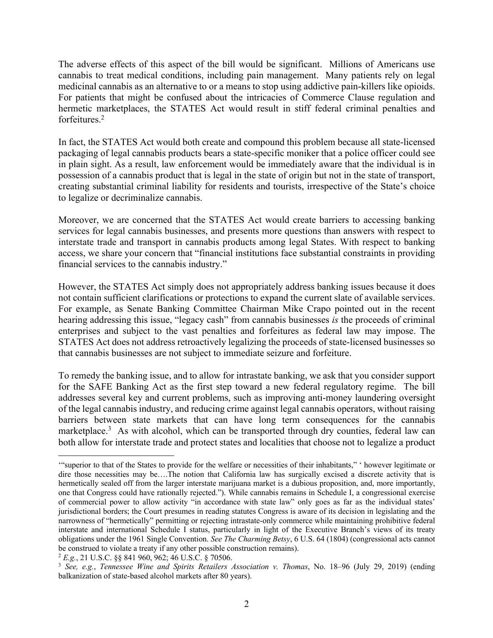The adverse effects of this aspect of the bill would be significant. Millions of Americans use cannabis to treat medical conditions, including pain management. Many patients rely on legal medicinal cannabis as an alternative to or a means to stop using addictive pain-killers like opioids. For patients that might be confused about the intricacies of Commerce Clause regulation and hermetic marketplaces, the STATES Act would result in stiff federal criminal penalties and forfeitures.2

In fact, the STATES Act would both create and compound this problem because all state-licensed packaging of legal cannabis products bears a state-specific moniker that a police officer could see in plain sight. As a result, law enforcement would be immediately aware that the individual is in possession of a cannabis product that is legal in the state of origin but not in the state of transport, creating substantial criminal liability for residents and tourists, irrespective of the State's choice to legalize or decriminalize cannabis.

Moreover, we are concerned that the STATES Act would create barriers to accessing banking services for legal cannabis businesses, and presents more questions than answers with respect to interstate trade and transport in cannabis products among legal States. With respect to banking access, we share your concern that "financial institutions face substantial constraints in providing financial services to the cannabis industry."

However, the STATES Act simply does not appropriately address banking issues because it does not contain sufficient clarifications or protections to expand the current slate of available services. For example, as Senate Banking Committee Chairman Mike Crapo pointed out in the recent hearing addressing this issue, "legacy cash" from cannabis businesses *is* the proceeds of criminal enterprises and subject to the vast penalties and forfeitures as federal law may impose. The STATES Act does not address retroactively legalizing the proceeds of state-licensed businesses so that cannabis businesses are not subject to immediate seizure and forfeiture.

To remedy the banking issue, and to allow for intrastate banking, we ask that you consider support for the SAFE Banking Act as the first step toward a new federal regulatory regime. The bill addresses several key and current problems, such as improving anti-money laundering oversight of the legal cannabis industry, and reducing crime against legal cannabis operators, without raising barriers between state markets that can have long term consequences for the cannabis marketplace.<sup>3</sup> As with alcohol, which can be transported through dry counties, federal law can both allow for interstate trade and protect states and localities that choose not to legalize a product

<sup>&#</sup>x27;"superior to that of the States to provide for the welfare or necessities of their inhabitants," ' however legitimate or dire those necessities may be….The notion that California law has surgically excised a discrete activity that is hermetically sealed off from the larger interstate marijuana market is a dubious proposition, and, more importantly, one that Congress could have rationally rejected."). While cannabis remains in Schedule I, a congressional exercise of commercial power to allow activity "in accordance with state law" only goes as far as the individual states' jurisdictional borders; the Court presumes in reading statutes Congress is aware of its decision in legislating and the narrowness of "hermetically" permitting or rejecting intrastate-only commerce while maintaining prohibitive federal interstate and international Schedule I status, particularly in light of the Executive Branch's views of its treaty obligations under the 1961 Single Convention. *See The Charming Betsy*, 6 U.S. 64 (1804) (congressional acts cannot be construed to violate a treaty if any other possible construction remains).

<sup>&</sup>lt;sup>2</sup> *E.g.*, 21 U.S.C. §§ 841 960, 962; 46 U.S.C. § 70506.<br><sup>3</sup> *See, e.g., Tennessee Wine and Spirits Retailers Association v. Thomas, No. 18–96 (July 29, 2019) (ending* balkanization of state-based alcohol markets after 80 years).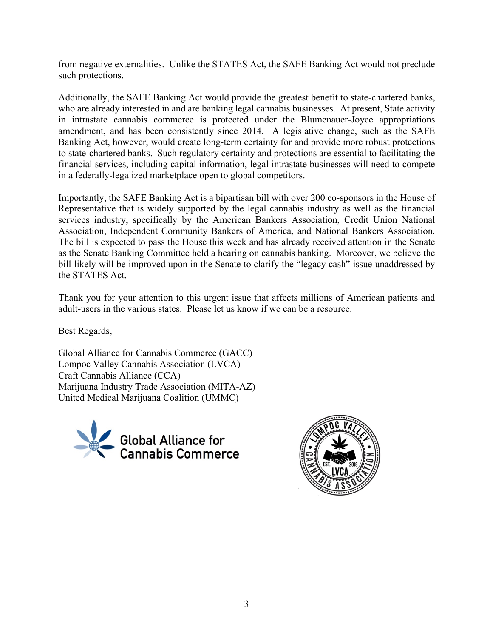from negative externalities. Unlike the STATES Act, the SAFE Banking Act would not preclude such protections.

Additionally, the SAFE Banking Act would provide the greatest benefit to state-chartered banks, who are already interested in and are banking legal cannabis businesses. At present, State activity in intrastate cannabis commerce is protected under the Blumenauer-Joyce appropriations amendment, and has been consistently since 2014. A legislative change, such as the SAFE Banking Act, however, would create long-term certainty for and provide more robust protections to state-chartered banks. Such regulatory certainty and protections are essential to facilitating the financial services, including capital information, legal intrastate businesses will need to compete in a federally-legalized marketplace open to global competitors.

Importantly, the SAFE Banking Act is a bipartisan bill with over 200 co-sponsors in the House of Representative that is widely supported by the legal cannabis industry as well as the financial services industry, specifically by the American Bankers Association, Credit Union National Association, Independent Community Bankers of America, and National Bankers Association. The bill is expected to pass the House this week and has already received attention in the Senate as the Senate Banking Committee held a hearing on cannabis banking. Moreover, we believe the bill likely will be improved upon in the Senate to clarify the "legacy cash" issue unaddressed by the STATES Act.

Thank you for your attention to this urgent issue that affects millions of American patients and adult-users in the various states. Please let us know if we can be a resource.

Best Regards,

Global Alliance for Cannabis Commerce (GACC) Lompoc Valley Cannabis Association (LVCA) Craft Cannabis Alliance (CCA) Marijuana Industry Trade Association (MITA-AZ) United Medical Marijuana Coalition (UMMC)



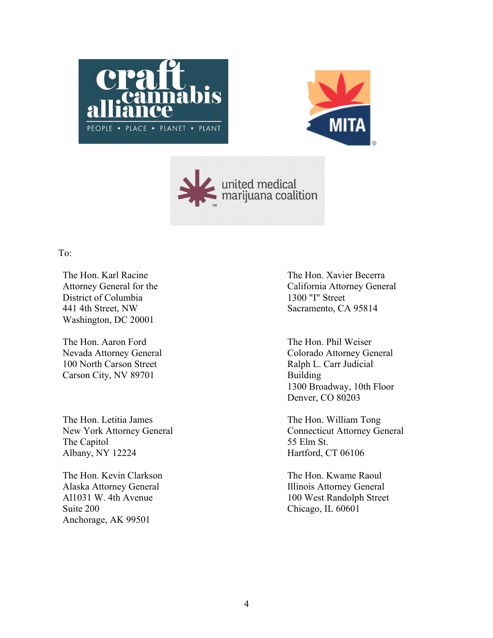





## To:

The Hon. Karl Racine Attorney General for the District of Columbia 441 4th Street, NW Washington, DC 20001

The Hon. Aaron Ford Nevada Attorney General 100 North Carson Street Carson City, NV 89701

The Hon. Letitia James New York Attorney General The Capitol Albany, NY 12224

The Hon. Kevin Clarkson Alaska Attorney General Al1031 W. 4th Avenue Suite 200 Anchorage, AK 99501

The Hon. Xavier Becerra California Attorney General 1300 "I" Street Sacramento, CA 95814

The Hon. Phil Weiser Colorado Attorney General Ralph L. Carr Judicial Building 1300 Broadway, 10th Floor Denver, CO 80203

The Hon. William Tong Connecticut Attorney General 55 Elm St. Hartford, CT 06106

The Hon. Kwame Raoul Illinois Attorney General 100 West Randolph Street Chicago, IL 60601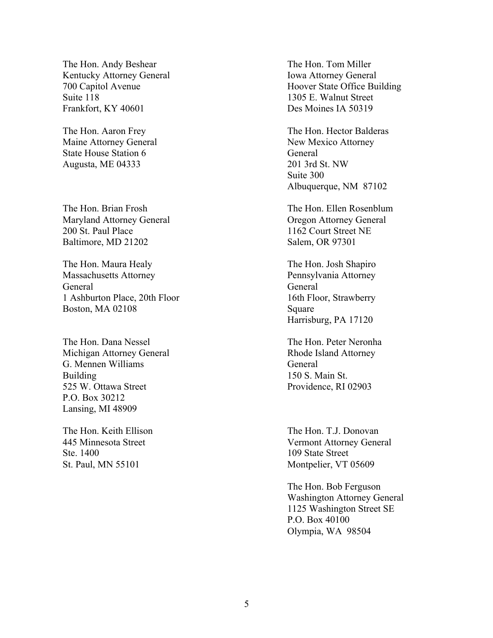The Hon. Andy Beshear Kentucky Attorney General 700 Capitol Avenue Suite 118 Frankfort, KY 40601

The Hon. Aaron Frey Maine Attorney General State House Station 6 Augusta, ME 04333

The Hon. Brian Frosh Maryland Attorney General 200 St. Paul Place Baltimore, MD 21202

The Hon. Maura Healy Massachusetts Attorney General 1 Ashburton Place, 20th Floor Boston, MA 02108

The Hon. Dana Nessel Michigan Attorney General G. Mennen Williams Building 525 W. Ottawa Street P.O. Box 30212 Lansing, MI 48909

The Hon. Keith Ellison 445 Minnesota Street Ste. 1400 St. Paul, MN 55101

The Hon. Tom Miller Iowa Attorney General Hoover State Office Building 1305 E. Walnut Street Des Moines IA 50319

The Hon. Hector Balderas New Mexico Attorney General 201 3rd St. NW Suite 300 Albuquerque, NM 87102

The Hon. Ellen Rosenblum Oregon Attorney General 1162 Court Street NE Salem, OR 97301

The Hon. Josh Shapiro Pennsylvania Attorney General 16th Floor, Strawberry Square Harrisburg, PA 17120

The Hon. Peter Neronha Rhode Island Attorney General 150 S. Main St. Providence, RI 02903

The Hon. T.J. Donovan Vermont Attorney General 109 State Street Montpelier, VT 05609

The Hon. Bob Ferguson Washington Attorney General 1125 Washington Street SE P.O. Box 40100 Olympia, WA 98504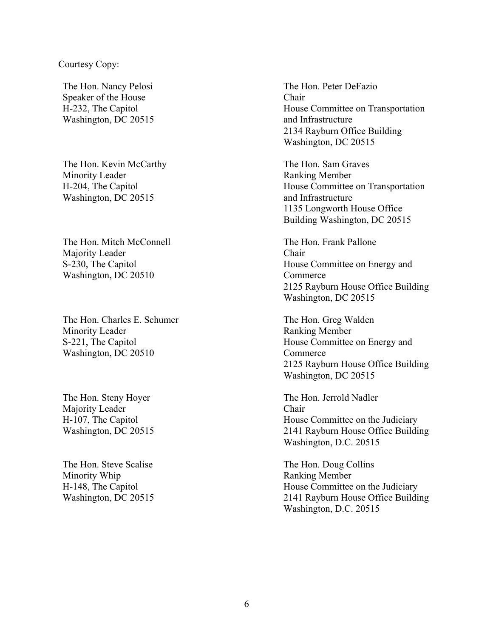## Courtesy Copy:

The Hon. Nancy Pelosi Speaker of the House H-232, The Capitol Washington, DC 20515

The Hon. Kevin McCarthy Minority Leader H-204, The Capitol Washington, DC 20515

The Hon. Mitch McConnell Majority Leader S-230, The Capitol Washington, DC 20510

The Hon. Charles E. Schumer Minority Leader S-221, The Capitol Washington, DC 20510

The Hon. Steny Hoyer Majority Leader H-107, The Capitol Washington, DC 20515

The Hon. Steve Scalise Minority Whip H-148, The Capitol Washington, DC 20515 The Hon. Peter DeFazio Chair House Committee on Transportation and Infrastructure 2134 Rayburn Office Building Washington, DC 20515

The Hon. Sam Graves Ranking Member House Committee on Transportation and Infrastructure 1135 Longworth House Office Building Washington, DC 20515

The Hon. Frank Pallone Chair House Committee on Energy and Commerce 2125 Rayburn House Office Building Washington, DC 20515

The Hon. Greg Walden Ranking Member House Committee on Energy and Commerce 2125 Rayburn House Office Building Washington, DC 20515

The Hon. Jerrold Nadler Chair House Committee on the Judiciary 2141 Rayburn House Office Building Washington, D.C. 20515

The Hon. Doug Collins Ranking Member House Committee on the Judiciary 2141 Rayburn House Office Building Washington, D.C. 20515